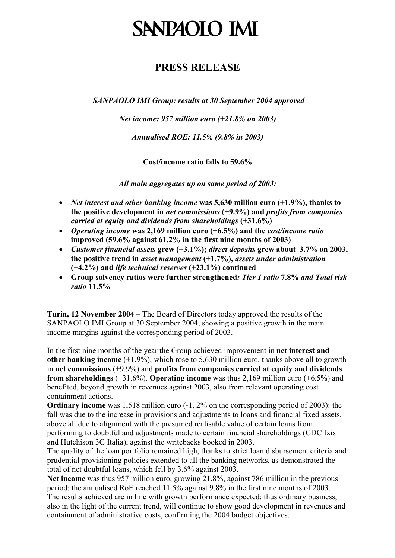# **SANPAOLO IMI**

## **PRESS RELEASE**

*SANPAOLO IMI Group: results at 30 September 2004 approved* 

*Net income: 957 million euro (+21.8% on 2003)* 

*Annualised ROE: 11.5% (9.8% in 2003)* 

**Cost/income ratio falls to 59.6%** 

*All main aggregates up on same period of 2003:* 

- *Net interest and other banking income* **was 5,630 million euro (+1.9%), thanks to the positive development in** *net commissions* **(+9.9%) and** *profits from companies carried at equity and dividends from shareholdings* **(+31.6%)**
- *Operating income* **was 2,169 million euro (+6.5%) and the** *cost/income ratio* **improved (59.6% against 61.2% in the first nine months of 2003)**
- *Customer financial assets* **grew (+3.1%);** *direct deposits* **grew about 3.7% on 2003, the positive trend in** *asset management* **(+1.7%),** *assets under administration* **(+4.2%) and** *life technical reserves* **(+23.1%) continued**
- **Group solvency ratios were further strengthened***: Tier 1 ratio* **7.8%** *and Total risk ratio* **11.5%**

**Turin, 12 November 2004 –** The Board of Directors today approved the results of the SANPAOLO IMI Group at 30 September 2004, showing a positive growth in the main income margins against the corresponding period of 2003.

In the first nine months of the year the Group achieved improvement in **net interest and other banking income** (+1.9%), which rose to 5,630 million euro, thanks above all to growth in **net commissions** (+9.9%) and **profits from companies carried at equity and dividends from shareholdings** (+31.6%). **Operating income** was thus 2,169 million euro (+6.5%) and benefited, beyond growth in revenues against 2003, also from relevant operating cost containment actions.

**Ordinary income** was 1,518 million euro (-1. 2% on the corresponding period of 2003): the fall was due to the increase in provisions and adjustments to loans and financial fixed assets, above all due to alignment with the presumed realisable value of certain loans from performing to doubtful and adjustments made to certain financial shareholdings (CDC Ixis and Hutchison 3G Italia), against the writebacks booked in 2003.

The quality of the loan portfolio remained high, thanks to strict loan disbursement criteria and prudential provisioning policies extended to all the banking networks, as demonstrated the total of net doubtful loans, which fell by 3.6% against 2003.

**Net income** was thus 957 million euro, growing 21.8%, against 786 million in the previous period: the annualised RoE reached 11.5% against 9.8% in the first nine months of 2003. The results achieved are in line with growth performance expected: thus ordinary business, also in the light of the current trend, will continue to show good development in revenues and containment of administrative costs, confirming the 2004 budget objectives.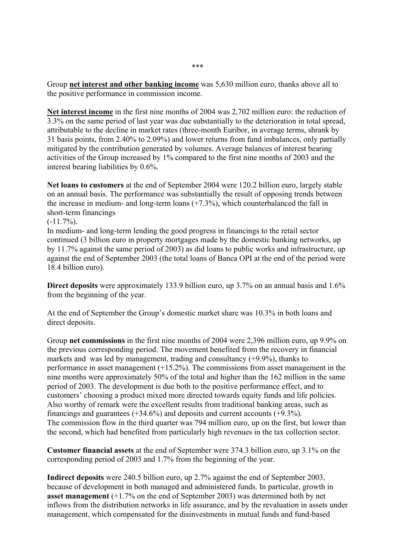Group **net interest and other banking income** was 5,630 million euro, thanks above all to the positive performance in commission income.

**Net interest income** in the first nine months of 2004 was 2,702 million euro: the reduction of 3.3% on the same period of last year was due substantially to the deterioration in total spread, attributable to the decline in market rates (three-month Euribor, in average terms, shrank by 31 basis points, from 2.40% to 2.09%) and lower returns from fund imbalances, only partially mitigated by the contribution generated by volumes. Average balances of interest bearing activities of the Group increased by 1% compared to the first nine months of 2003 and the interest bearing liabilities by 0.6%.

**Net loans to customers** at the end of September 2004 were 120.2 billion euro, largely stable on an annual basis. The performance was substantially the result of opposing trends between the increase in medium- and long-term loans (+7.3%), which counterbalanced the fall in short-term financings

 $(-11.7\%)$ .

In medium- and long-term lending the good progress in financings to the retail sector continued (3 billion euro in property mortgages made by the domestic banking networks, up by 11.7% against the same period of 2003) as did loans to public works and infrastructure, up against the end of September 2003 (the total loans of Banca OPI at the end of the period were 18.4 billion euro).

**Direct deposits** were approximately 133.9 billion euro, up 3.7% on an annual basis and 1.6% from the beginning of the year.

At the end of September the Group's domestic market share was 10.3% in both loans and direct deposits.

Group **net commissions** in the first nine months of 2004 were 2,396 million euro, up 9.9% on the previous corresponding period. The movement benefited from the recovery in financial markets and was led by management, trading and consultancy (+9.9%), thanks to performance in asset management (+15.2%). The commissions from asset management in the nine months were approximately 50% of the total and higher than the 162 million in the same period of 2003. The development is due both to the positive performance effect, and to customers' choosing a product mixed more directed towards equity funds and life policies. Also worthy of remark were the excellent results from traditional banking areas, such as financings and guarantees  $(+34.6%)$  and deposits and current accounts  $(+9.3%).$ The commission flow in the third quarter was 794 million euro, up on the first, but lower than the second, which had benefited from particularly high revenues in the tax collection sector.

**Customer financial assets** at the end of September were 374.3 billion euro, up 3.1% on the corresponding period of 2003 and 1.7% from the beginning of the year.

**Indirect deposits** were 240.5 billion euro, up 2.7% against the end of September 2003, because of development in both managed and administered funds. In particular, growth in **asset management** (+1.7% on the end of September 2003) was determined both by net inflows from the distribution networks in life assurance, and by the revaluation in assets under management, which compensated for the disinvestments in mutual funds and fund-based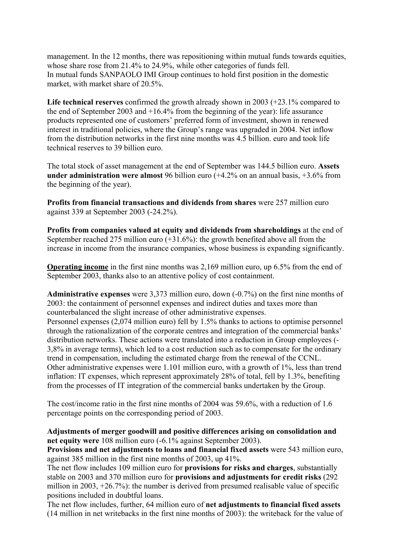management. In the 12 months, there was repositioning within mutual funds towards equities, whose share rose from 21.4% to 24.9%, while other categories of funds fell. In mutual funds SANPAOLO IMI Group continues to hold first position in the domestic market, with market share of 20.5%.

**Life technical reserves** confirmed the growth already shown in 2003 (+23.1% compared to the end of September 2003 and +16.4% from the beginning of the year): life assurance products represented one of customers' preferred form of investment, shown in renewed interest in traditional policies, where the Group's range was upgraded in 2004. Net inflow from the distribution networks in the first nine months was 4.5 billion. euro and took life technical reserves to 39 billion euro.

The total stock of asset management at the end of September was 144.5 billion euro. **Assets under administration were almost** 96 billion euro (+4.2% on an annual basis, +3.6% from the beginning of the year).

**Profits from financial transactions and dividends from shares** were 257 million euro against 339 at September 2003 (-24.2%).

**Profits from companies valued at equity and dividends from shareholdings** at the end of September reached 275 million euro (+31.6%): the growth benefited above all from the increase in income from the insurance companies, whose business is expanding significantly.

**Operating income** in the first nine months was 2,169 million euro, up 6.5% from the end of September 2003, thanks also to an attentive policy of cost containment.

**Administrative expenses** were 3,373 million euro, down (-0.7%) on the first nine months of 2003: the containment of personnel expenses and indirect duties and taxes more than counterbalanced the slight increase of other administrative expenses. Personnel expenses (2,074 million euro) fell by 1.5% thanks to actions to optimise personnel through the rationalization of the corporate centres and integration of the commercial banks' distribution networks. These actions were translated into a reduction in Group employees (- 3,8% in average terms), which led to a cost reduction such as to compensate for the ordinary trend in compensation, including the estimated charge from the renewal of the CCNL. Other administrative expenses were 1.101 million euro, with a growth of 1%, less than trend inflation: IT expenses, which represent approximately 28% of total, fell by 1.3%, benefiting from the processes of IT integration of the commercial banks undertaken by the Group.

The cost/income ratio in the first nine months of 2004 was 59.6%, with a reduction of 1.6 percentage points on the corresponding period of 2003.

#### **Adjustments of merger goodwill and positive differences arising on consolidation and net equity were** 108 million euro (-6.1% against September 2003).

**Provisions and net adjustments to loans and financial fixed assets** were 543 million euro, against 385 million in the first nine months of 2003, up 41%.

The net flow includes 109 million euro for **provisions for risks and charges**, substantially stable on 2003 and 370 million euro for **provisions and adjustments for credit risks** (292 million in 2003, +26.7%): the number is derived from presumed realisable value of specific positions included in doubtful loans.

The net flow includes, further, 64 million euro of **net adjustments to financial fixed assets**  (14 million in net writebacks in the first nine months of 2003): the writeback for the value of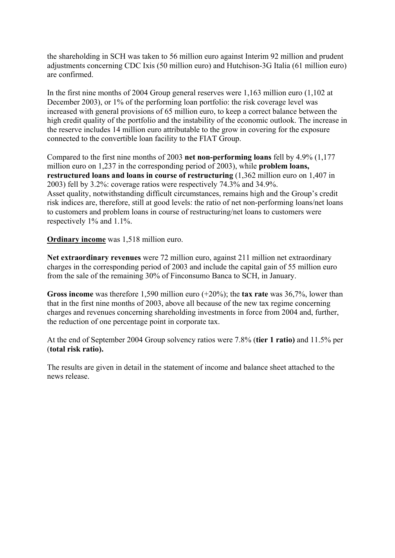the shareholding in SCH was taken to 56 million euro against Interim 92 million and prudent adjustments concerning CDC Ixis (50 million euro) and Hutchison-3G Italia (61 million euro) are confirmed.

In the first nine months of 2004 Group general reserves were 1,163 million euro (1,102 at December 2003), or 1% of the performing loan portfolio: the risk coverage level was increased with general provisions of 65 million euro, to keep a correct balance between the high credit quality of the portfolio and the instability of the economic outlook. The increase in the reserve includes 14 million euro attributable to the grow in covering for the exposure connected to the convertible loan facility to the FIAT Group.

Compared to the first nine months of 2003 **net non-performing loans** fell by 4.9% (1,177 million euro on 1,237 in the corresponding period of 2003), while **problem loans, restructured loans and loans in course of restructuring** (1,362 million euro on 1,407 in 2003) fell by 3.2%: coverage ratios were respectively 74.3% and 34.9%. Asset quality, notwithstanding difficult circumstances, remains high and the Group's credit risk indices are, therefore, still at good levels: the ratio of net non-performing loans/net loans to customers and problem loans in course of restructuring/net loans to customers were respectively 1% and 1.1%.

**Ordinary income** was 1,518 million euro.

**Net extraordinary revenues** were 72 million euro, against 211 million net extraordinary charges in the corresponding period of 2003 and include the capital gain of 55 million euro from the sale of the remaining 30% of Finconsumo Banca to SCH, in January.

**Gross income** was therefore 1,590 million euro (+20%); the **tax rate** was 36,7%, lower than that in the first nine months of 2003, above all because of the new tax regime concerning charges and revenues concerning shareholding investments in force from 2004 and, further, the reduction of one percentage point in corporate tax.

At the end of September 2004 Group solvency ratios were 7.8% (**tier 1 ratio)** and 11.5% per (**total risk ratio).** 

The results are given in detail in the statement of income and balance sheet attached to the news release.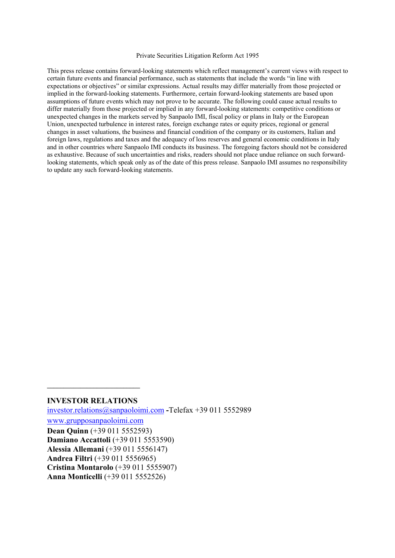#### Private Securities Litigation Reform Act 1995

This press release contains forward-looking statements which reflect management's current views with respect to certain future events and financial performance, such as statements that include the words "in line with expectations or objectives" or similar expressions. Actual results may differ materially from those projected or implied in the forward-looking statements. Furthermore, certain forward-looking statements are based upon assumptions of future events which may not prove to be accurate. The following could cause actual results to differ materially from those projected or implied in any forward-looking statements: competitive conditions or unexpected changes in the markets served by Sanpaolo IMI, fiscal policy or plans in Italy or the European Union, unexpected turbulence in interest rates, foreign exchange rates or equity prices, regional or general changes in asset valuations, the business and financial condition of the company or its customers, Italian and foreign laws, regulations and taxes and the adequacy of loss reserves and general economic conditions in Italy and in other countries where Sanpaolo IMI conducts its business. The foregoing factors should not be considered as exhaustive. Because of such uncertainties and risks, readers should not place undue reliance on such forwardlooking statements, which speak only as of the date of this press release. Sanpaolo IMI assumes no responsibility to update any such forward-looking statements.

#### **INVESTOR RELATIONS**

**\_\_\_\_\_\_\_\_\_\_\_\_\_\_\_\_\_\_\_\_\_\_\_\_\_\_\_\_** 

[investor.relations@sanpaoloimi.com](mailto:investor.relations@sanpaoloimi.com) **-**Telefax +39 011 5552989

[www.grupposanpaoloimi.com](http://www.grupposanpaoloimi.com/)

**Dean Quinn** (+39 011 5552593) **Damiano Accattoli** (+39 011 5553590) **Alessia Allemani** (+39 011 5556147) **Andrea Filtri** (+39 011 5556965) **Cristina Montarolo** (+39 011 5555907) **Anna Monticelli** (+39 011 5552526)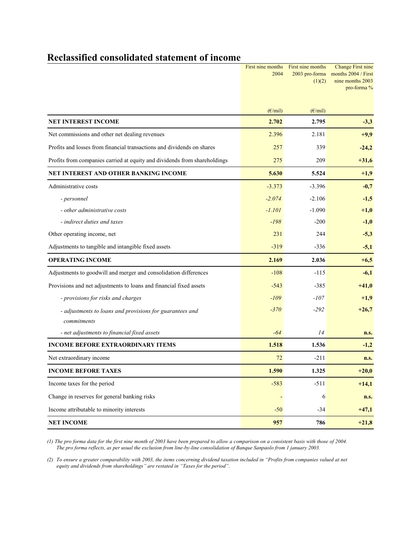## **Reclassified consolidated statement of income**

|                                                                           | 2004                    | First nine months First nine months<br>2003 pro-forma<br>(1)(2) | <b>Change First nine</b><br>months 2004 / First<br>nine months 2003<br>pro-forma % |
|---------------------------------------------------------------------------|-------------------------|-----------------------------------------------------------------|------------------------------------------------------------------------------------|
|                                                                           | $(\epsilon/\text{mil})$ | $(\epsilon/\text{mil})$                                         |                                                                                    |
| <b>NET INTEREST INCOME</b>                                                | 2.702                   | 2.795                                                           | $-3,3$                                                                             |
| Net commissions and other net dealing revenues                            | 2.396                   | 2.181                                                           | $+9,9$                                                                             |
| Profits and losses from financial transactions and dividends on shares    | 257                     | 339                                                             | $-24,2$                                                                            |
| Profits from companies carried at equity and dividends from shareholdings | 275                     | 209                                                             | $+31,6$                                                                            |
| NET INTEREST AND OTHER BANKING INCOME                                     | 5.630                   | 5.524                                                           | $+1,9$                                                                             |
| Administrative costs                                                      | $-3.373$                | $-3.396$                                                        | $-0,7$                                                                             |
| - personnel                                                               | $-2.074$                | $-2.106$                                                        | $-1,5$                                                                             |
| - other administrative costs                                              | $-1.101$                | $-1.090$                                                        | $+1,0$                                                                             |
| - indirect duties and taxes                                               | $-198$                  | $-200$                                                          | $-1,0$                                                                             |
| Other operating income, net                                               | 231                     | 244                                                             | $-5,3$                                                                             |
| Adjustments to tangible and intangible fixed assets                       | $-319$                  | $-336$                                                          | $-5,1$                                                                             |
| <b>OPERATING INCOME</b>                                                   | 2.169                   | 2.036                                                           | $+6,5$                                                                             |
| Adjustments to goodwill and merger and consolidation differences          | $-108$                  | $-115$                                                          | $-6,1$                                                                             |
| Provisions and net adjustments to loans and financial fixed assets        | $-543$                  | $-385$                                                          | $+41,0$                                                                            |
| - provisions for risks and charges                                        | $-109$                  | $-107$                                                          | $+1,9$                                                                             |
| - adjustments to loans and provisions for guarantees and<br>commitments   | $-370$                  | $-292$                                                          | $+26,7$                                                                            |
| - net adjustments to financial fixed assets                               | $-64$                   | 14                                                              | n.s.                                                                               |
| <b>INCOME BEFORE EXTRAORDINARY ITEMS</b>                                  | 1.518                   | 1.536                                                           | $-1,2$                                                                             |
| Net extraordinary income                                                  | 72                      | $-211$                                                          | n.s.                                                                               |
| <b>INCOME BEFORE TAXES</b>                                                | 1.590                   | 1.325                                                           | $+20,0$                                                                            |
| Income taxes for the period                                               | $-583$                  | $-511$                                                          | $+14,1$                                                                            |
| Change in reserves for general banking risks                              |                         | 6                                                               | n.s.                                                                               |
| Income attributable to minority interests                                 | $-50$                   | $-34$                                                           | $+47,1$                                                                            |
| <b>NET INCOME</b>                                                         | 957                     | 786                                                             | $+21,8$                                                                            |

*(1) The pro forma data for the first nine month of 2003 have been prepared to allow a comparison on a consistent basis with those of 2004. The pro forma reflects, as per usual the exclusion from line-by-line consolidation of Banque Sanpaolo from 1 january 2003.* 

*(2) To ensure a greater comparability with 2003, the items concerning dividend taxation included in "Profits from companies valued at net equity and dividends from shareholdings" are restated in "Taxes for the period".*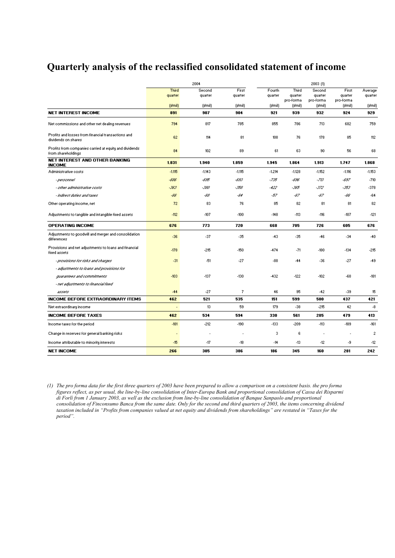## **Quarterly analysis of the reclassified consolidated statement of income**

|                                                                               | 2004         |            |          |          | 2003 (1)             |                      |                      |                |  |  |
|-------------------------------------------------------------------------------|--------------|------------|----------|----------|----------------------|----------------------|----------------------|----------------|--|--|
|                                                                               | <b>Third</b> | Second     | First    | Fourth   | Third                | Second               | First                | Average        |  |  |
|                                                                               | quarter      | quarter    | quarter  | quarter  | quarter<br>pro-forma | quarter<br>pro-forma | quarter<br>pro-forma | quarter        |  |  |
|                                                                               | [ lmin]      | $( i$ mil) | [ lmin]  | ( dmi )  | (jłmil)              | (jłmil)              | [ lmin]              | [ lmin]        |  |  |
| <b>NET INTEREST INCOME</b>                                                    | 891          | 907        | 904      | 921      | 939                  | 932                  | 924                  | 929            |  |  |
| Net commissions and other net dealing revenues                                | 794          | 817        | 785      | 855      | 786                  | 713                  | 682                  | 759            |  |  |
| Profits and losses from financial transactions and<br>dividends on shares     | 62           | 114        | 81       | 108      | 76                   | 178                  | 85                   | 112            |  |  |
| Profits from companies carried at equity and dividends.<br>from shareholdings | 84           | 102        | 89       | 61       | 63                   | 90                   | 56                   | 68             |  |  |
| <b>NET INTEREST AND OTHER BANKING</b><br><b>INCOME</b>                        | 1.831        | 1.940      | 1.859    | 1.945    | 1.864                | 1.913                | 1.747                | 1.868          |  |  |
| Administrative costs                                                          | $-1.115$     | $-1.143$   | $-1.115$ | $-1.214$ | $-1.128$             | $-1.152$             | $-1.116$             | $-1.153$       |  |  |
| - personnel                                                                   | -686         | -635       | -633     | -735     | -636                 | -713                 | -637                 | $-710$         |  |  |
| - other administrative costs                                                  | -363         | -380       | -358     | -422     | -365                 | -372                 | -353                 | $-378$         |  |  |
| - indirect duties and taxes                                                   | -66          | -68        | -64      | -57      | -67                  | -67                  | -66                  | $-64$          |  |  |
| Other operating income, net                                                   | 72           | 83         | 76       | 85       | 82                   | 81                   | 81                   | 82             |  |  |
| Adjustments to tangible and intangible fixed assets.                          | $-112$       | $-107$     | $-100$   | $-148$   | $-113$               | $-116$               | $-107$               | $-121$         |  |  |
| <b>OPERATING INCOME</b>                                                       | 676          | 773        | 720      | 668      | 705                  | 726                  | 605                  | 676            |  |  |
| Adjustments to goodwill and merger and consolidation.<br>differences          | $-36$        | $-37$      | $-35$    | $-43$    | $-35$                | $-46$                | $-34$                | $-40$          |  |  |
| Provisions and net adjustments to loans and financial<br><b>fixed assets</b>  | $-178$       | $-215$     | $-150$   | -474     | $-71$                | $-180$               | $-134$               | $-215$         |  |  |
| - provisions for risks and oharges                                            | $-31$        | $-51$      | $-27$    | $-88$    | -44                  | $-36$                | $-27$                | $-49$          |  |  |
| - adjustments to loans and provisions for                                     |              |            |          |          |                      |                      |                      |                |  |  |
| quarantees and commitments                                                    | $-103$       | $-137$     | $-130$   | -432     | $-122$               | $-102$               | -68                  | $-181$         |  |  |
| - net adjustments to financial fixed                                          |              |            |          |          |                      |                      |                      |                |  |  |
| assets                                                                        | $-44$        | $-27$      | 7        | 46       | 95                   | $-42$                | $-39$                | 15             |  |  |
| <b>INCOME BEFORE EXTRAORDINARY ITEMS</b>                                      | 462          | 521        | 535      | 151      | 599                  | 500                  | 437                  | 421            |  |  |
| Net extraordinary income                                                      | ä,           | 13         | 59       | 179      | $-38$                | $-215$               | 42                   | $-8$           |  |  |
| <b>INCOME BEFORE TAXES</b>                                                    | 462          | 534        | 594      | 330      | 561                  | 285                  | 479                  | 413            |  |  |
| Income taxes for the period                                                   | $-181$       | $-212$     | $-190$   | $-133$   | $-209$               | $-113$               | $-189$               | $-161$         |  |  |
| Change in reserves for general banking risks                                  | ٠            |            |          | 3        | 6                    | ٠.                   |                      | $\overline{c}$ |  |  |
| Income attributable to minority interests                                     | $-15$        | $-17$      | -18      | $-14$    | $-13$                | $-12$                | -9                   | $-12$          |  |  |
| <b>NET INCOME</b>                                                             | 266          | 305        | 386      | 186      | 345                  | 160                  | 281                  | 242            |  |  |

*(1) The pro forma data for the first three quarters of 2003 have been prepared to allow a comparison on a consistent basis. the pro forma figures reflect, as per usual, the line-by-line consolidation of Inter-Europa Bank and proportional consolidation of Cassa dei Risparmi di Forlì from 1 January 2003, as well as the exclusion from line-by-line consolidation of Banque Sanpaolo and proportional consolidation of Finconsumo Banca from the same date. Only for the second and third quarters of 2003, the items concerning dividend taxation included in "Profits from companies valued at net equity and dividends from shareholdings" are restated in "Taxes for the period".*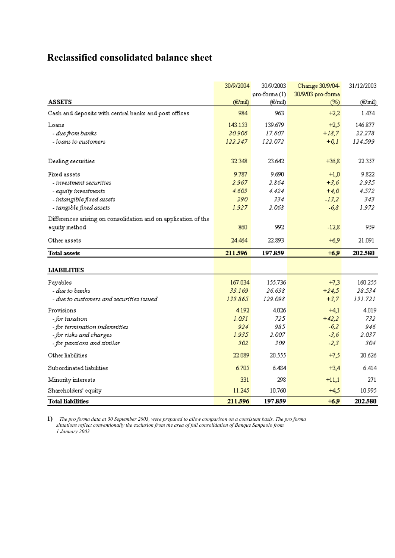# **Reclassified consolidated balance sheet**

|                                                                | 30/9/2004 | 30/9/2003      | Change 30/9/04    | 31/12/2003 |
|----------------------------------------------------------------|-----------|----------------|-------------------|------------|
|                                                                |           | $pro-forma(1)$ | 30/9/03 pro-forma |            |
| <b>ASSETS</b>                                                  | (E/mil)   | (€/mil)        | (%)               | (€/mil)    |
| Cash and deposits with central banks and post offices          | 984       | 963            | $+2,2$            | 1.474      |
| Loans                                                          | 143.153   | 139.679        | $+2,5$            | 146.877    |
| - due from banks                                               | 20.906    | 17.607.        | $+18,7$           | 22.278     |
| - loans to customers                                           | 122.247   | 122.072        | $+0.1$            | 124.599    |
| Dealing securities                                             | 32.348    | 23.642         | $+36,8$           | 22.357     |
| Fixed assets                                                   | 9.787     | 9.690          | $+1,0$            | 9.822      |
| - investment securities                                        | 2.967     | 2.864          | $+3,6$            | 2.935      |
| - equity investments                                           | 4.603     | 4.424          | $+4,0$            | 4.572      |
| - intangible fixed assets                                      | 290       | 334            | $-13,2$           | 343        |
| - tangible fixed assets                                        | 1.927     | 2.068          | $-6,8$            | 1.972      |
| Differences arising on consolidation and on application of the |           |                |                   |            |
| equity method                                                  | 860       | 992            | $-12,8$           | 959        |
| Other assets                                                   | 24.464    | 22.893         | $+6,9$            | 21.091     |
| <b>Total assets</b>                                            | 211596    | 197.859        | $+6.9$            | 202.580    |
| <b>LIABILITIES</b>                                             |           |                |                   |            |
| Payables                                                       | 167.034   | 155.736        | $+7,3$            | 160.255    |
| - due to banks                                                 | 33.169    | 26.638         | $+24,5$           | 28.534     |
| - due to customers and securities issued                       | 133.865   | 129.098        | $+3,7$            | 131.721    |
| Provisions                                                     | 4.192     | 4.026          | $+4.1$            | 4.019      |
| - for taxation                                                 | 1.031     | 725            | $+42,2$           | 732        |
| - for termination indemnities                                  | 924       | 985            | $-6,2$            | 946        |
| -for risks and charges                                         | 1.935     | 2.007          | $-3,6$            | 2.037      |
| - for pensions and similar                                     | 302       | 309            | $-2,3$            | 304        |
| Other liabilities                                              | 22.089    | 20.555         | $+7,5$            | 20.626     |
| Subordinated liabilities                                       | 6.705     | 6.484          | $+3,4$            | 6.414      |
| Minority interests                                             | 331       | 298            | $+11,1$           | 271        |
| Shareholders' equity                                           | 11.245    | 10.760         | $+4,5$            | 10.995     |
| <b>Total liabilities</b>                                       | 211.596   | 197.859        | $+6.9$            | 202.580    |

**1)** *The pro forma data at 30 September 2003, were prepared to allow comparison on a consistent basis. The pro forma situations reflect conventionally the exclusion from the area of full consolidation of Banque Sanpaolo from 1 January 2003*